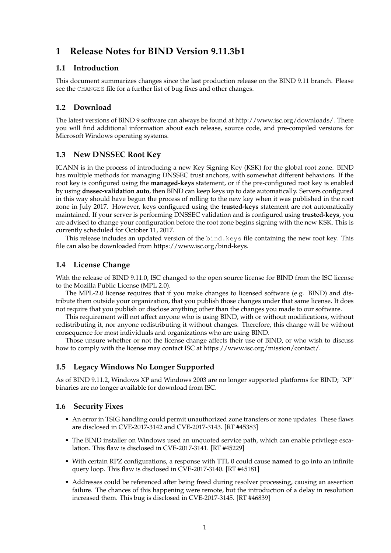# **1 Release Notes for BIND Version 9.11.3b1**

#### **1.1 Introduction**

This document summarizes changes since the last production release on the BIND 9.11 branch. Please see the CHANGES file for a further list of bug fixes and other changes.

#### **1.2 Download**

The latest versions of BIND 9 software can always be found at http://www.isc.org/downloads/. There you will find additional information about each release, source code, and pre-compiled versions for Microsoft Windows operating systems.

#### **1.3 New DNSSEC Root Key**

ICANN is in the process of introducing a new Key Signing Key (KSK) for the global root zone. BIND has multiple methods for managing DNSSEC trust anchors, with somewhat different behaviors. If the root key is configured using the **managed-keys** statement, or if the pre-configured root key is enabled by using **dnssec-validation auto**, then BIND can keep keys up to date automatically. Servers configured in this way should have begun the process of rolling to the new key when it was published in the root zone in July 2017. However, keys configured using the **trusted-keys** statement are not automatically maintained. If your server is performing DNSSEC validation and is configured using **trusted-keys**, you are advised to change your configuration before the root zone begins signing with the new KSK. This is currently scheduled for October 11, 2017.

This release includes an updated version of the bind.keys file containing the new root key. This file can also be downloaded from https://www.isc.org/bind-keys.

#### **1.4 License Change**

With the release of BIND 9.11.0, ISC changed to the open source license for BIND from the ISC license to the Mozilla Public License (MPL 2.0).

The MPL-2.0 license requires that if you make changes to licensed software (e.g. BIND) and distribute them outside your organization, that you publish those changes under that same license. It does not require that you publish or disclose anything other than the changes you made to our software.

This requirement will not affect anyone who is using BIND, with or without modifications, without redistributing it, nor anyone redistributing it without changes. Therefore, this change will be without consequence for most individuals and organizations who are using BIND.

Those unsure whether or not the license change affects their use of BIND, or who wish to discuss how to comply with the license may contact ISC at https://www.isc.org/mission/contact/.

### **1.5 Legacy Windows No Longer Supported**

As of BIND 9.11.2, Windows XP and Windows 2003 are no longer supported platforms for BIND; "XP" binaries are no longer available for download from ISC.

#### **1.6 Security Fixes**

- An error in TSIG handling could permit unauthorized zone transfers or zone updates. These flaws are disclosed in CVE-2017-3142 and CVE-2017-3143. [RT #45383]
- The BIND installer on Windows used an unquoted service path, which can enable privilege escalation. This flaw is disclosed in CVE-2017-3141. [RT #45229]
- With certain RPZ configurations, a response with TTL 0 could cause **named** to go into an infinite query loop. This flaw is disclosed in CVE-2017-3140. [RT #45181]
- Addresses could be referenced after being freed during resolver processing, causing an assertion failure. The chances of this happening were remote, but the introduction of a delay in resolution increased them. This bug is disclosed in CVE-2017-3145. [RT #46839]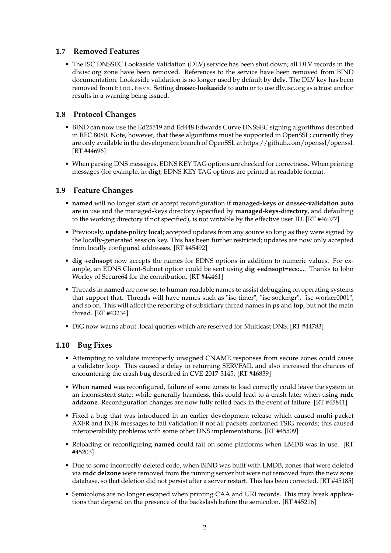#### **1.7 Removed Features**

• The ISC DNSSEC Lookaside Validation (DLV) service has been shut down; all DLV records in the dlv.isc.org zone have been removed. References to the service have been removed from BIND documentation. Lookaside validation is no longer used by default by **delv**. The DLV key has been removed from bind.keys. Setting **dnssec-lookaside** to **auto** or to use dlv.isc.org as a trust anchor results in a warning being issued.

#### **1.8 Protocol Changes**

- BIND can now use the Ed25519 and Ed448 Edwards Curve DNSSEC signing algorithms described in RFC 8080. Note, however, that these algorithms must be supported in OpenSSL; currently they are only available in the development branch of OpenSSL at https://github.com/openssl/openssl. [RT #44696]
- When parsing DNS messages, EDNS KEY TAG options are checked for correctness. When printing messages (for example, in **dig**), EDNS KEY TAG options are printed in readable format.

#### **1.9 Feature Changes**

- **named** will no longer start or accept reconfiguration if **managed-keys** or **dnssec-validation auto** are in use and the managed-keys directory (specified by **managed-keys-directory**, and defaulting to the working directory if not specified), is not writable by the effective user ID. [RT #46077]
- Previously, **update-policy local;** accepted updates from any source so long as they were signed by the locally-generated session key. This has been further restricted; updates are now only accepted from locally configured addresses. [RT #45492]
- **dig +ednsopt** now accepts the names for EDNS options in addition to numeric values. For example, an EDNS Client-Subnet option could be sent using **dig +ednsopt=ecs:...**. Thanks to John Worley of Secure64 for the contribution. [RT #44461]
- Threads in **named** are now set to human-readable names to assist debugging on operating systems that support that. Threads will have names such as "isc-timer", "isc-sockmgr", "isc-worker0001", and so on. This will affect the reporting of subsidiary thread names in **ps** and **top**, but not the main thread. [RT #43234]
- DiG now warns about .local queries which are reserved for Multicast DNS. [RT #44783]

#### **1.10 Bug Fixes**

- Attempting to validate improperly unsigned CNAME responses from secure zones could cause a validator loop. This caused a delay in returning SERVFAIL and also increased the chances of encountering the crash bug described in CVE-2017-3145. [RT #46839]
- When **named** was reconfigured, failure of some zones to load correctly could leave the system in an inconsistent state; while generally harmless, this could lead to a crash later when using **rndc addzone**. Reconfiguration changes are now fully rolled back in the event of failure. [RT #45841]
- Fixed a bug that was introduced in an earlier development release which caused multi-packet AXFR and IXFR messages to fail validation if not all packets contained TSIG records; this caused interoperability problems with some other DNS implementations. [RT #45509]
- Reloading or reconfiguring **named** could fail on some platforms when LMDB was in use. [RT #45203]
- Due to some incorrectly deleted code, when BIND was built with LMDB, zones that were deleted via **rndc delzone** were removed from the running server but were not removed from the new zone database, so that deletion did not persist after a server restart. This has been corrected. [RT #45185]
- Semicolons are no longer escaped when printing CAA and URI records. This may break applications that depend on the presence of the backslash before the semicolon. [RT #45216]